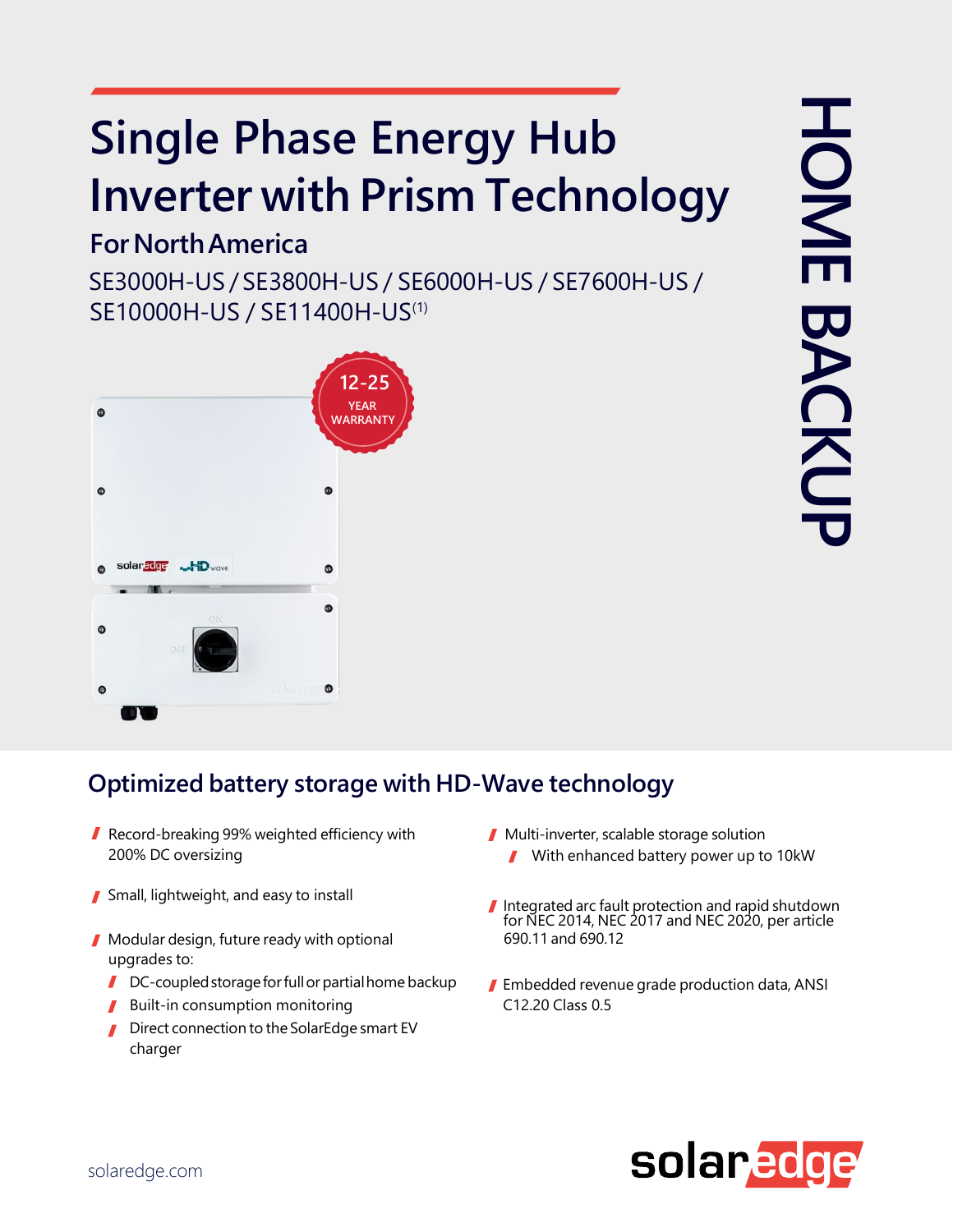# **Single Phase Energy Hub Inverter with Prism Technology**

## **ForNorthAmerica**

SE3000H-US / SE3800H-US / SE6000H-US / SE7600H-US / SE10000H-US / SE11400H-US(1)



### **Optimized battery storage with HD-Wave technology**

- Record-breaking 99% weighted efficiency with 200% DC oversizing
- Small, lightweight, and easy to install
- **Modular design, future ready with optional** upgrades to:
	- $\blacksquare$  DC-coupled storage for full or partial home backup
	- Built-in consumption monitoring
	- Direct connection to the SolarEdge smart EV charger
- Multi-inverter, scalable storage solution With enhanced battery power up to 10kW  $\mathbf{r}$
- Integrated arc fault protection and rapid shutdown for NEC 2014, NEC 2017 and NEC 2020, per article 690.11 and 690.12
- **Embedded revenue grade production data, ANSI** C12.20 Class 0.5

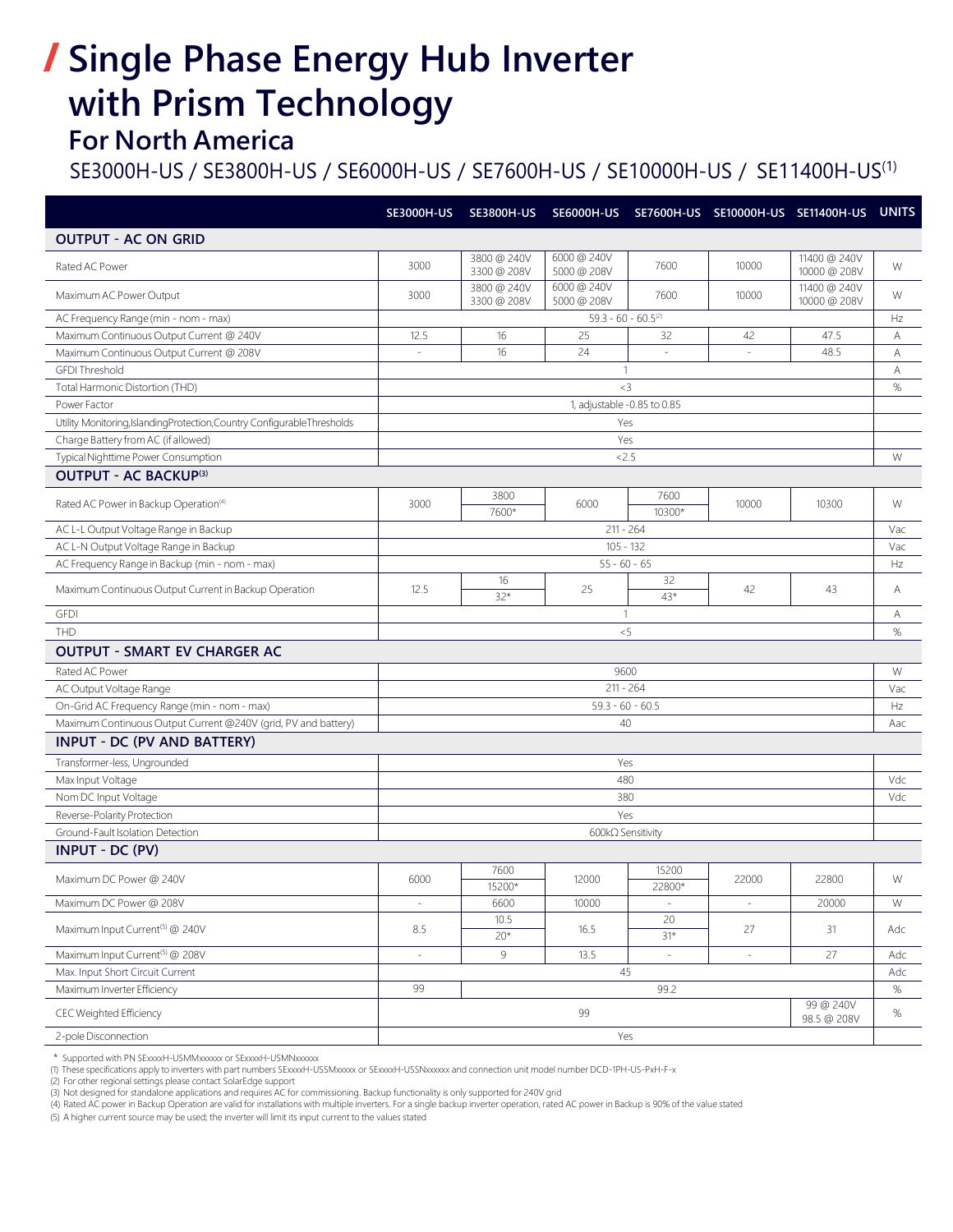# **Single Phase Energy Hub Inverter with Prism Technology**

#### **For North America**

#### SE3000H-US / SE3800H-US / SE6000H-US / SE7600H-US / SE10000H-US / SE11400H-US(1)

|                                                                           |                                | SE3000H-US SE3800H-US      |                            |                 | SE6000H-US SE7600H-US SE10000H-US SE11400H-US UNITS |                              |      |  |  |  |
|---------------------------------------------------------------------------|--------------------------------|----------------------------|----------------------------|-----------------|-----------------------------------------------------|------------------------------|------|--|--|--|
| <b>OUTPUT - AC ON GRID</b>                                                |                                |                            |                            |                 |                                                     |                              |      |  |  |  |
| Rated AC Power                                                            | 3000                           | 3800 @ 240V<br>3300 @ 208V | 6000@240V<br>5000 @ 208V   | 7600            | 10000                                               | 11400 @ 240V<br>10000 @ 208V | W    |  |  |  |
| Maximum AC Power Output                                                   | 3000                           | 3800 @ 240V<br>3300 @ 208V | 6000 @ 240V<br>5000 @ 208V | 7600            | 10000                                               | 11400 @ 240V<br>10000 @ 208V | W    |  |  |  |
| AC Frequency Range (min - nom - max)                                      | $59.3 - 60 - 60.5^{(2)}$       |                            |                            |                 |                                                     |                              |      |  |  |  |
| Maximum Continuous Output Current @ 240V                                  | 12.5                           | 16                         | 25                         | 32              | 42                                                  | 47.5                         | Α    |  |  |  |
| Maximum Continuous Output Current @ 208V                                  | ÷.                             | 16                         | 24                         | $\sim$          | $\sim$                                              | 48.5                         | Α    |  |  |  |
| <b>GFDI Threshold</b>                                                     | $\mathbf{1}$                   |                            |                            |                 |                                                     |                              |      |  |  |  |
| Total Harmonic Distortion (THD)                                           |                                |                            | $3$                        |                 |                                                     |                              | $\%$ |  |  |  |
| Power Factor                                                              | 1, adjustable -0.85 to 0.85    |                            |                            |                 |                                                     |                              |      |  |  |  |
| Utility Monitoring, Islanding Protection, Country Configurable Thresholds | Yes                            |                            |                            |                 |                                                     |                              |      |  |  |  |
| Charge Battery from AC (if allowed)                                       | Yes                            |                            |                            |                 |                                                     |                              |      |  |  |  |
| Typical Nighttime Power Consumption                                       |                                |                            | 2.5                        |                 |                                                     |                              | W    |  |  |  |
| <b>OUTPUT - AC BACKUP(3)</b>                                              |                                |                            |                            |                 |                                                     |                              |      |  |  |  |
| Rated AC Power in Backup Operation <sup>(4)</sup>                         | 3000                           | 3800<br>7600*              | 6000                       | 7600<br>10300*  | 10000                                               | 10300                        | W    |  |  |  |
| AC L-L Output Voltage Range in Backup                                     | $211 - 264$                    |                            |                            |                 |                                                     |                              |      |  |  |  |
| AC L-N Output Voltage Range in Backup                                     | $105 - 132$                    |                            |                            |                 |                                                     |                              |      |  |  |  |
| AC Frequency Range in Backup (min - nom - max)                            | $55 - 60 - 65$                 |                            |                            |                 |                                                     |                              |      |  |  |  |
| Maximum Continuous Output Current in Backup Operation                     | 12.5                           | 16<br>$32*$                | 25                         | 32<br>43*       | 42                                                  | 43                           | Α    |  |  |  |
| <b>GFDI</b>                                                               | $\overline{1}$                 |                            |                            |                 |                                                     |                              |      |  |  |  |
| <b>THD</b>                                                                | < 5                            |                            |                            |                 |                                                     |                              |      |  |  |  |
| <b>OUTPUT - SMART EV CHARGER AC</b>                                       |                                |                            |                            |                 |                                                     |                              |      |  |  |  |
| Rated AC Power                                                            | 9600                           |                            |                            |                 |                                                     |                              |      |  |  |  |
| AC Output Voltage Range                                                   | $211 - 264$                    |                            |                            |                 |                                                     |                              |      |  |  |  |
| On-Grid AC Frequency Range (min - nom - max)                              | $59.3 - 60 - 60.5$             |                            |                            |                 |                                                     |                              |      |  |  |  |
| Maximum Continuous Output Current @240V (grid, PV and battery)            | 40                             |                            |                            |                 |                                                     |                              |      |  |  |  |
| <b>INPUT - DC (PV AND BATTERY)</b>                                        |                                |                            |                            |                 |                                                     |                              |      |  |  |  |
| Transformer-less, Ungrounded                                              | Yes                            |                            |                            |                 |                                                     |                              |      |  |  |  |
| Max Input Voltage                                                         | 480                            |                            |                            |                 |                                                     |                              |      |  |  |  |
| Nom DC Input Voltage                                                      | 380<br>Vdc                     |                            |                            |                 |                                                     |                              |      |  |  |  |
| Reverse-Polarity Protection                                               | Yes                            |                            |                            |                 |                                                     |                              |      |  |  |  |
| Ground-Fault Isolation Detection                                          | 600kΩ Sensitivity              |                            |                            |                 |                                                     |                              |      |  |  |  |
| <b>INPUT - DC (PV)</b>                                                    |                                |                            |                            |                 |                                                     |                              |      |  |  |  |
| Maximum DC Power @ 240V                                                   | 6000                           | 7600<br>15200*             | 12000                      | 15200<br>22800* | 22000                                               | 22800                        | W    |  |  |  |
| Maximum DC Power @ 208V                                                   | $\equiv$                       | 6600                       | 10000                      | $\omega$        | $\omega$                                            | 20000                        | W    |  |  |  |
| Maximum Input Current <sup>(5)</sup> @ 240V                               | 8.5                            | 10.5<br>$20*$              | 16.5                       | 20<br>$31*$     | 27                                                  | 31                           | Adc  |  |  |  |
| Maximum Input Current <sup>(5)</sup> @ 208V                               | $\omega$                       | 9                          | 13.5                       | $\equiv$        | $\equiv$                                            | 27                           | Adc  |  |  |  |
| Max. Input Short Circuit Current                                          | 45                             |                            |                            |                 |                                                     |                              |      |  |  |  |
| Maximum Inverter Efficiency                                               | 99<br>99.2                     |                            |                            |                 |                                                     |                              |      |  |  |  |
| CEC Weighted Efficiency                                                   | 99 @ 240V<br>99<br>98.5 @ 208V |                            |                            |                 |                                                     |                              |      |  |  |  |
| 2-pole Disconnection                                                      | Yes                            |                            |                            |                 |                                                     |                              |      |  |  |  |

\* Supported with PN SExxxxH-USMMxxxxxx or SExxxxH-USMNxxxxxx

(1) These specifications apply to inverters with part numbers SExxxxH-USSMxxxxx or SExxxxH-USSNxxxxx and connection unit model number DCD-1PH-US-PxH-F-x<br>(2) For other regional settings please contact SolarEdge support<br>(3)

(4) Rated AC power in Backup Operation are valid for installations with multiple inverters. For a single backup inverter operation, rated AC power in Backup is 90% of the value stated

(5) A higher current source may be used; the inverter will limit its input current to the values stated